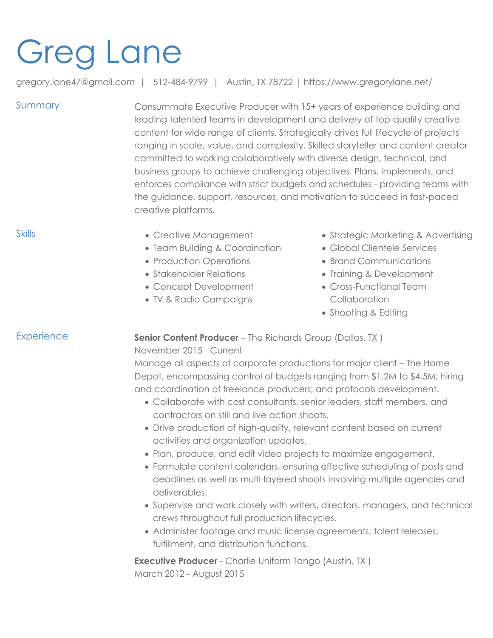# Greg Lane

gregory.lane47@gmail.com | 512-484-9799 | Austin, TX 78722 | https://www.gregorylane.net/

Summary Consummate Executive Producer with 15+ years of experience building and leading talented teams in development and delivery of top-quality creative content for wide range of clients. Strategically drives full lifecycle of projects ranging in scale, value, and complexity. Skilled storyteller and content creator committed to working collaboratively with diverse design, technical, and business groups to achieve challenging objectives. Plans, implements, and enforces compliance with strict budgets and schedules - providing teams with the guidance, support, resources, and motivation to succeed in fast-paced creative platforms.

- Skills  **Creative Management** 
	- Team Building & Coordination
	- Production Operations
	- Stakeholder Relations
	- Concept Development
	- TV & Radio Campaigns
- Strategic Marketing & Advertising
- Global Clientele Services
- Brand Communications
- Training & Development
- Cross-Functional Team **Collaboration**
- Shooting & Editing

Experience **Senior Content Producer** – The Richards Group (Dallas, TX)

November 2015 - Current

Manage all aspects of corporate productions for major client – The Home Depot, encompassing control of budgets ranging from \$1.2M to \$4.5M; hiring and coordination of freelance producers; and protocols development.

- Collaborate with cost consultants, senior leaders, staff members, and contractors on still and live action shoots.
- Drive production of high-quality, relevant content based on current activities and organization updates.
- Plan, produce, and edit video projects to maximize engagement.
- Formulate content calendars, ensuring effective scheduling of posts and deadlines as well as multi-layered shoots involving multiple agencies and deliverables.
- Supervise and work closely with writers, directors, managers, and technical crews throughout full production lifecycles.
- Administer footage and music license agreements, talent releases, fulfillment, and distribution functions.

**Executive Producer** - Charlie Uniform Tango (Austin, TX ) March 2012 - August 2015